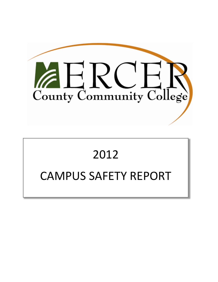

# 2012 CAMPUS SAFETY REPORT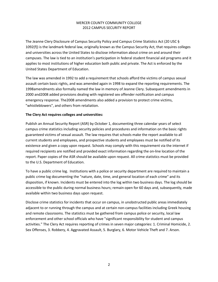The Jeanne Clery Disclosure of Campus Security Policy and Campus Crime Statistics Act (20 USC § 1092(f)) is the landmark federal law, originally known as the Campus Security Act, that requires colleges and universities across the United States to disclose information about crime on and around their campuses. The law is tied to an institution's participation in federal student financial aid programs and it applies to most institutions of higher education both public and private. The Act is enforced by the United States Department of Education.

The law was amended in 1992 to add a requirement that schools afford the victims of campus sexual assault certain basic rights, and was amended again in 1998 to expand the reporting requirements. The 1998amendments also formally named the law in memory of Jeanne Clery. Subsequent amendments in 2000 and2008 added provisions dealing with registered sex offender notification and campus emergency response. The2008 amendments also added a provision to protect crime victims, "whistleblowers", and others from retaliation.

## **The Clery Act requires colleges and universities:**

Publish an Annual Security Report (ASR) by October 1, documenting three calendar years of select campus crime statistics including security policies and procedures and information on the basic rights guaranteed victims of sexual assault. The law requires that schools make the report available to all current students and employees, and prospective students and employees must be notified of its existence and given a copy upon request. Schools may comply with this requirement via the internet if required recipients are notified and provided exact information regarding the on‐line location of the report. Paper copies of the ASR should be available upon request. All crime statistics must be provided to the U.S. Department of Education.

To have a public crime log. Institutions with a police or security department are required to maintain a public crime log documenting the "nature, date, time, and general location of each crime" and its disposition, if known. Incidents must be entered into the log within two business days. The log should be accessible to the public during normal business hours; remain open for 60 days and, subsequently, made available within two business days upon request.

Disclose crime statistics for incidents that occur on campus, in unobstructed public areas immediately adjacent to or running through the campus and at certain non‐campus facilities including Greek housing and remote classrooms. The statistics must be gathered from campus police or security, local law enforcement and other school officials who have "significant responsibility for student and campus activities." The Clery Act requires reporting of crimes in seven major categories: 1. Criminal Homicide, 2. Sex Offenses, 3. Robbery, 4. Aggravated Assault, 5. Burglary, 6. Motor Vehicle Theft and 7. Arson.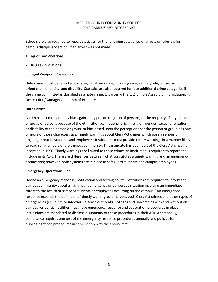Schools are also required to report statistics for the following categories of arrests or referrals for campus disciplinary action (if an arrest was not made):

- 1. Liquor Law Violations
- 2. Drug Law Violations
- 3. Illegal Weapons Possession

Hate crimes must be reported by category of prejudice, including race, gender, religion, sexual orientation, ethnicity, and disability. Statistics are also required for four additional crime categories if the crime committed is classified as a hate crime: 1. Larceny/Theft, 2. Simple Assault, 3. Intimidation, 4. Destruction/Damage/Vandalism of Property.

## **Hate Crimes**

A criminal act motivated by bias against any person or group of persons, or the property of any person or group of persons because of the ethnicity, race, national origin, religion, gender, sexual orientation, or disability of the person or group, or bias based upon the perception that the person or group has one or more of those characteristics. Timely warnings about Clery Act crimes which pose a serious or ongoing threat to students and employees. Institutions must provide timely warnings in a manner likely to reach all members of the campus community. This mandate has been part of the Clery Act since its inception in 1990. Timely warnings are limited to those crimes an institution is required to report and include in its ASR. There are differences between what constitutes a timely warning and an emergency notification; however, both systems are in place to safeguard students and campus employees.

#### **Emergency Operations Plan**

Devise an emergency response, notification and testing policy. Institutions are required to inform the campus community about a "significant emergency or dangerous situation involving an immediate threat to the health or safety of students or employees occurring on the campus." An emergency response expands the definition of timely warning as it includes both Clery Act crimes and other types of emergencies (i.e., a fire or infectious disease outbreak). Colleges and universities with and without on‐ campus residential facilities must have emergency response and evacuation procedures in place. Institutions are mandated to disclose a summary of these procedures in their ASR. Additionally, compliance requires one test of the emergency response procedures annually and policies for publicizing those procedures in conjunction with the annual test.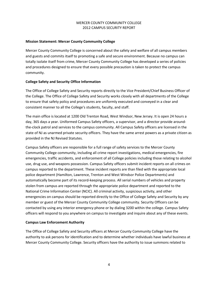## **Mission Statement: Mercer County Community College**

Mercer County Community College is concerned about the safety and welfare of all campus members and guests and commits itself to promoting a safe and secure environment. Because no campus can totally isolate itself from crime, Mercer County Community College has developed a series of policies and procedures designed to ensure that every possible precaution is taken to protect the campus community.

#### **College Safety and Security Office Information**

The Office of College Safety and Security reports directly to the Vice President/Chief Business Officer of the College. The Office of College Safety and Security works closely with all departments of the College to ensure that safety policy and procedures are uniformly executed and conveyed in a clear and consistent manner to all the College's students, faculty, and staff.

The main office is located at 1200 Old Trenton Road, West Windsor, New Jersey. It is open 24 hours a day, 365 days a year. Uniformed Campus Safety officers, a supervisor, and a director provide around‐ the‐clock patrol and services to the campus community. All Campus Safety officers are licensed in the state of NJ as unarmed private security officers. They have the same arrest powers as a private citizen as provided in the NJ Revised Statutes.

Campus Safety officers are responsible for a full range of safety services to the Mercer County Community College community, including all crime report investigations, medical emergencies, fire emergencies, traffic accidents, and enforcement of all College policies including those relating to alcohol use, drug use, and weapons possession. Campus Safety officers submit incident reports on all crimes on campus reported to the department. These incident reports are than filed with the appropriate local police department (Hamilton, Lawrence, Trenton and West Windsor Police Departments) and automatically become part of its record‐keeping process. All serial numbers of vehicles and property stolen from campus are reported through the appropriate police department and reported to the National Crime Information Center (NCIC). All criminal activity, suspicious activity, and other emergencies on campus should be reported directly to the Office of College Safety and Security by any member or guest of the Mercer County Community College community. Security Officers can be contacted by using any interior emergency phone or by dialing 3200 within the college. Campus Safety officers will respond to you anywhere on campus to investigate and inquire about any of these events.

# **Campus Law Enforcement Authority**

The Office of College Safety and Security officers at Mercer County Community College have the authority to ask persons for identification and to determine whether individuals have lawful business at Mercer County Community College. Security officers have the authority to issue summons related to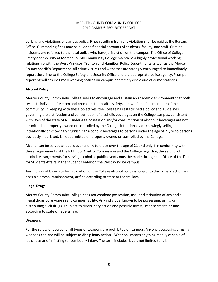parking and violations of campus policy. Fines resulting from any violation shall be paid at the Bursars Office. Outstanding fines may be billed to financial accounts of students, faculty, and staff. Criminal incidents are referred to the local police who have jurisdiction on the campus. The Office of College Safety and Security at Mercer County Community College maintains a highly professional working relationship with the West Windsor, Trenton and Hamilton Police Departments as well as the Mercer County Sheriff's Department. All crime victims and witnesses are strongly encouraged to immediately report the crime to the College Safety and Security Office and the appropriate police agency. Prompt reporting will assure timely warning notices on‐campus and timely disclosure of crime statistics.

## **Alcohol Policy**

Mercer County Community College seeks to encourage and sustain an academic environment that both respects individual freedom and promotes the health, safety, and welfare of all members of the community. In keeping with these objectives, the College has established a policy and guidelines governing the distribution and consumption of alcoholic beverages on the College campus, consistent with laws of the state of NJ. Under-age possession and/or consumption of alcoholic beverages are not permitted on property owned or controlled by the College. Intentionally or knowingly selling, or intentionally or knowingly "furnishing" alcoholic beverages to persons under the age of 21, or to persons obviously inebriated, is not permitted on property owned or controlled by the College.

Alcohol can be served at public events only to those over the age of 21 and only if in conformity with those requirements of the NJ Liquor Control Commission and the College regarding the serving of alcohol. Arrangements for serving alcohol at public events must be made through the Office of the Dean for Students Affairs in the Student Center on the West Windsor campus.

Any individual known to be in violation of the College alcohol policy is subject to disciplinary action and possible arrest, imprisonment, or fine according to state or federal law.

#### **Illegal Drugs**

Mercer County Community College does not condone possession, use, or distribution of any and all illegal drugs by anyone in any campus facility. Any individual known to be possessing, using, or distributing such drugs is subject to disciplinary action and possible arrest, imprisonment, or fine according to state or federal law.

#### **Weapons**

For the safety of everyone, all types of weapons are prohibited on campus. Anyone possessing or using weapons can and will be subject to disciplinary action. "Weapon" means anything readily capable of lethal use or of inflicting serious bodily injury. The term includes, but is not limited to, all: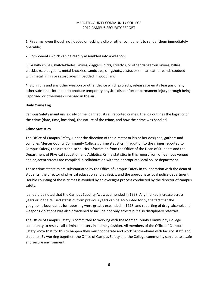1. Firearms, even though not loaded or lacking a clip or other component to render them immediately operable;

2. Components which can be readily assembled into a weapon;

3. Gravity knives, switch‐blades, knives, daggers, dirks, stilettos, or other dangerous knives, billies, blackjacks, bludgeons, metal knuckles, sandclubs, slingshots, cestus or similar leather bands studded with metal filings or razorblades imbedded in wood; and

4. Stun guns and any other weapon or other device which projects, releases or emits tear gas or any other substance intended to produce temporary physical discomfort or permanent injury through being vaporized or otherwise dispensed in the air.

## **Daily Crime Log**

Campus Safety maintains a daily crime log that lists all reported crimes. The log outlines the logistics of the crime (date, time, location), the nature of the crime, and how the crime was handled.

## **Crime Statistics**

The Office of Campus Safety, under the direction of the director or his or her designee, gathers and compiles Mercer County Community College's crime statistics. In addition to the crimes reported to Campus Safety, the director also solicits information from the Office of the Dean of Students and the Department of Physical Education and Athletics. Crime statistics in this report from off-campus venues and adjacent streets are compiled in collaboration with the appropriate local police department.

These crime statistics are substantiated by the Office of Campus Safety in collaboration with the dean of students, the director of physical education and athletics, and the appropriate local police department. Double counting of these crimes is avoided by an oversight process conducted by the director of campus safety.

It should be noted that the Campus Security Act was amended in 1998. Any marked increase across years or in the revised statistics from previous years can be accounted for by the fact that the geographic boundaries for reporting were greatly expanded in 1998, and reporting of drug, alcohol, and weapons violations was also broadened to include not only arrests but also disciplinary referrals.

The Office of Campus Safety is committed to working with the Mercer County Community College community to resolve all criminal matters in a timely fashion. All members of the Office of Campus Safety know that for this to happen they must cooperate and work hand‐in‐hand with faculty, staff, and students. By working together, the Office of Campus Safety and the College community can create a safe and secure environment.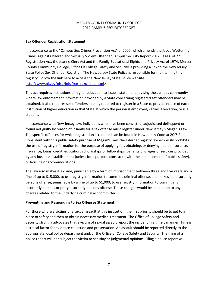#### **Sex Offender Registration Statement**

In accordance to the "Campus Sex Crimes Prevention Act" of 2000, which amends the Jacob Wetterling Crimes Against Children and Sexually Violent Offender Campus Security Report 2012 Page 6 of 22 Registration Act, the Jeanne Clery Act and the Family Educational Rights and Privacy Act of 1974, Mercer County Community College, Office Of College Safety and Security is providing a link to the New Jersey State Police Sex Offender Registry. The New Jersey State Police is responsible for maintaining this registry. Follow the link here to access the New Jersey State Police website. [http://www.nj.gov/njsp/info/reg\\_sexoffend.html>](http://www.nj.gov/njsp/info/reg_sexoffend.html)

This act requires institutions of higher education to issue a statement advising the campus community where law enforcement information provided by a State concerning registered sex offenders may be obtained. It also requires sex offenders already required to register in a State to provide notice of each institution of higher education in that State at which the person is employed, carries a vocation, or is a student.

In accordance with New Jersey law, individuals who have been convicted, adjudicated delinquent or found not guilty by reason of insanity for a sex offense must register under New Jersey's Megan's Law. The specific offenses for which registration is required can be found in New Jersey Code at 2C:7‐2. Consistent with this public safety purpose of Megan's Law, the Internet registry law expressly prohibits the use of registry information for the purpose of applying for, obtaining, or denying health insurance, insurance, loans, credit, education, scholarships or fellowships, benefits privileges or services provided by any business establishment (unless for a purpose consistent with the enhancement of public safety), or housing or accommodations.

The law also makes it a crime, punishable by a term of imprisonment between three and five years and a fine of up to \$15,000, to use registry information to commit a criminal offense, and makes it a disorderly persons offense, punishable by a fine of up to \$1,000, to use registry information to commit any disorderly persons or petty disorderly persons offense. These charges would be in addition to any charges related to the underlying criminal act committed.

#### **Preventing and Responding to Sex Offenses Statement**

For those who are victims of a sexual assault at this institution, the first priority should be to get to a place of safety and then to obtain necessary medical treatment. The Office of College Safety and Security strongly advocates that a victim of sexual assault report the incident in a timely manner. Time is a critical factor for evidence collection and preservation. An assault should be reported directly to the appropriate local police department and/or the Office of College Safety and Security. The filing of a police report will not subject the victim to scrutiny or judgmental opinions. Filing a police report will: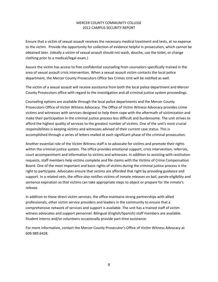Ensure that a victim of sexual assault receives the necessary medical treatment and tests, at no expense to the victim. Provide the opportunity for collection of evidence helpful in prosecution, which cannot be obtained later. (Ideally a victim of sexual assault should not wash, douche, use the toilet, or change clothing prior to a medical/legal exam.)

Assure the victim has access to free confidential counseling from counselors specifically trained in the area of sexual assault crisis intervention. When a sexual assault victim contacts the local police department, the Mercer County Prosecutors Office Sex Crimes Unit will be notified as well.

The victim of a sexual assault will receive assistance from both the local police department and Mercer County Prosecutors office with regard to the investigation and all criminal justice system proceedings.

Counseling options are available through the local police departments and the Mercer County Prosecutors Office of Victim Witness Advocacy. The Office of Victim Witness Advocacy provides crime victims and witnesses with services designed to help them cope with the aftermath of victimization and make their participation in the criminal justice process less difficult and burdensome. The unit strives to afford the highest quality of services to the greatest number of victims. One of the unit's most crucial responsibilities is keeping victims and witnesses advised of their current case status. This is accomplished through a series of letters mailed at each significant phase of the criminal prosecution.

Another essential role of the Victim Witness staff is to advocate for victims and promote their rights within the criminal justice system. The office provides emotional support, crisis intervention, referrals, court accompaniment and information to victims and witnesses. In addition to assisting with restitution requests, staff members help victims complete and file claims with the Victims of Crime Compensation Board. One of the most important and basic rights of victims during the criminal justice process is the right to participate. Advocates ensure that victims are afforded that right by providing guidance and support. In a related vein, the office also notifies victims of inmate releases on bail, parole eligibility and sentence expiration so that victims can take appropriate steps to object or prepare for the inmate's release.

In addition to these direct victim services, the office maintains strong partnerships with allied professionals, other victim service providers and leaders in the community to ensure that a comprehensive network of services and support is available. The unit has a trained staff of victim witness advocates and support personnel. Bilingual (English/Spanish) staff members are available. Student interns and/or volunteers occasionally provide part‐time assistance.

For more information, contact the Mercer County Prosecutor's Office of Victim Witness Advocacy at 609.989.6428.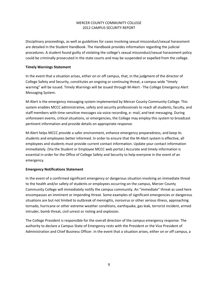Disciplinary proceedings, as well as guidelines for cases involving sexual misconduct/sexual harassment are detailed in the Student Handbook. The Handbook provides information regarding the judicial procedures. A student found guilty of violating the college's sexual misconduct/sexual harassment policy could be criminally prosecuted in the state courts and may be suspended or expelled from the college.

## **Timely Warnings Statement**

In the event that a situation arises, either on or off campus, that, in the judgment of the director of College Safety and Security, constitutes an ongoing or continuing threat, a campus wide "timely warning" will be issued. Timely Warnings will be issued through M‐Alert ‐ The College Emergency Alert Messaging System.

M‐Alert is the emergency messaging system implemented by Mercer County Community College. This system enables MCCC administrative, safety and security professionals to reach all students, faculty, and staff members with time‐sensitive messages via voice recording, e‐ mail, and text messaging. During unforeseen events, critical situations, or emergencies, the College may employ this system to broadcast pertinent information and provide details on appropriate response.

M‐Alert helps MCCC provide a safer environment, enhance emergency preparedness, and keep its students and employees better informed. In order to ensure that the M‐Alert system is effective, all employees and students must provide current contact information. Update your contact information immediately. (Via the Student or Employee MCCC web portal.) Accurate and timely information is essential in order for the Office of College Safety and Security to help everyone in the event of an emergency.

# **Emergency Notifications Statement**

In the event of a confirmed significant emergency or dangerous situation involving an immediate threat to the health and/or safety of students or employees occurring on the campus, Mercer County Community College will immediately notify the campus community. An "immediate" threat as used here encompasses an imminent or impending threat. Some examples of significant emergencies or dangerous situations are but not limited to outbreak of meningitis, norovirus or other serious illness, approaching tornado, hurricane or other extreme weather conditions, earthquake, gas leak, terrorist incident, armed intruder, bomb threat, civil unrest or rioting and explosion.

The College President is responsible for the overall direction of the campus emergency response. The authority to declare a Campus State of Emergency rests with the President or the Vice President of Administration and Chief Business Officer. In the event that a situation arises, either on or off campus, a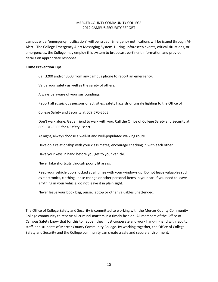campus wide "emergency notification" will be issued. Emergency notifications will be issued through M‐ Alert ‐ The College Emergency Alert Messaging System. During unforeseen events, critical situations, or emergencies, the College may employ this system to broadcast pertinent information and provide details on appropriate response.

#### **Crime Prevention Tips**

Call 3200 and/or 3503 from any campus phone to report an emergency.

Value your safety as well as the safety of others.

Always be aware of your surroundings.

Report all suspicious persons or activities, safety hazards or unsafe lighting to the Office of

College Safety and Security at 609.570‐3503.

Don't walk alone. Get a friend to walk with you. Call the Office of College Safety and Security at 609.570‐3503 for a Safety Escort.

At night, always choose a well‐lit and well‐populated walking route.

Develop a relationship with your class mates; encourage checking in with each other.

Have your keys in hand before you get to your vehicle.

Never take shortcuts through poorly lit areas.

Keep your vehicle doors locked at all times with your windows up. Do not leave valuables such as electronics, clothing, loose change or other personal items in your car. If you need to leave anything in your vehicle, do not leave it in plain sight.

Never leave your book bag, purse, laptop or other valuables unattended.

The Office of College Safety and Security is committed to working with the Mercer County Community College community to resolve all criminal matters in a timely fashion. All members of the Office of Campus Safety know that for this to happen they must cooperate and work hand-in-hand with faculty, staff, and students of Mercer County Community College. By working together, the Office of College Safety and Security and the College community can create a safe and secure environment.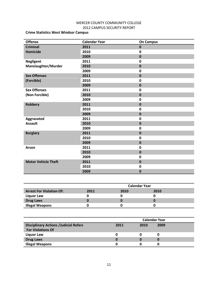# **Crime Statistics West Windsor Campus**

| <b>Offense</b>             | <b>Calendar Year</b> | <b>On Campus</b> |
|----------------------------|----------------------|------------------|
| <b>Criminal</b>            | 2011                 | $\mathbf 0$      |
| <b>Homicide</b>            | 2010                 | $\mathbf 0$      |
|                            | 2009                 | $\mathbf 0$      |
| <b>Negligent</b>           | 2011                 | $\mathbf 0$      |
| Manslaughter/Murder        | 2010                 | $\mathbf 0$      |
|                            | 2009                 | 0                |
| <b>Sex Offenses</b>        | 2011                 | $\mathbf 0$      |
| (Forcible)                 | 2010                 | $\mathbf 0$      |
|                            | 2009                 | $\bf{0}$         |
| <b>Sex Offenses</b>        | 2011                 | $\mathbf 0$      |
| (Non Forcible)             | 2010                 | $\mathbf{0}$     |
|                            | 2009                 | $\mathbf 0$      |
| <b>Robbery</b>             | 2011                 | $\pmb{0}$        |
|                            | 2010                 | $\mathbf 0$      |
|                            | 2009                 | $\mathbf 0$      |
| Aggravated                 | 2011                 | $\mathbf 0$      |
| <b>Assault</b>             | 2010                 | $\bf{0}$         |
|                            | 2009                 | $\mathbf 0$      |
| <b>Burglary</b>            | 2011                 | $\mathbf 0$      |
|                            | 2010                 | $\mathbf 0$      |
|                            | 2009                 | $\mathbf 0$      |
| Arson                      | 2011                 | $\mathbf 0$      |
|                            | 2010                 | $\mathbf 0$      |
|                            | 2009                 | $\mathbf 0$      |
| <b>Motor Vehicle Theft</b> | 2011                 | $\mathbf 0$      |
|                            | 2010                 | $\mathbf 0$      |
|                            | 2009                 | $\mathbf{0}$     |

|                                 | <b>Calendar Year</b> |      |      |  |
|---------------------------------|----------------------|------|------|--|
| <b>Arrest For Violation Of:</b> | 2011                 | 2010 | 2010 |  |
| Liquor Law                      |                      |      |      |  |
| <b>Drug Laws</b>                |                      |      |      |  |
| <b>Illegal Weapons</b>          |                      |      |      |  |

|                                              | <b>Calendar Year</b> |      |      |  |
|----------------------------------------------|----------------------|------|------|--|
| <b>Disciplinary Actions /Judicial Refers</b> | 2011                 | 2010 | 2009 |  |
| <b>For Violations Of</b>                     |                      |      |      |  |
| <b>Liquor Law</b>                            | 0                    |      |      |  |
| <b>Drug Laws</b>                             | 0                    |      |      |  |
| <b>Illegal Weapons</b>                       |                      |      |      |  |